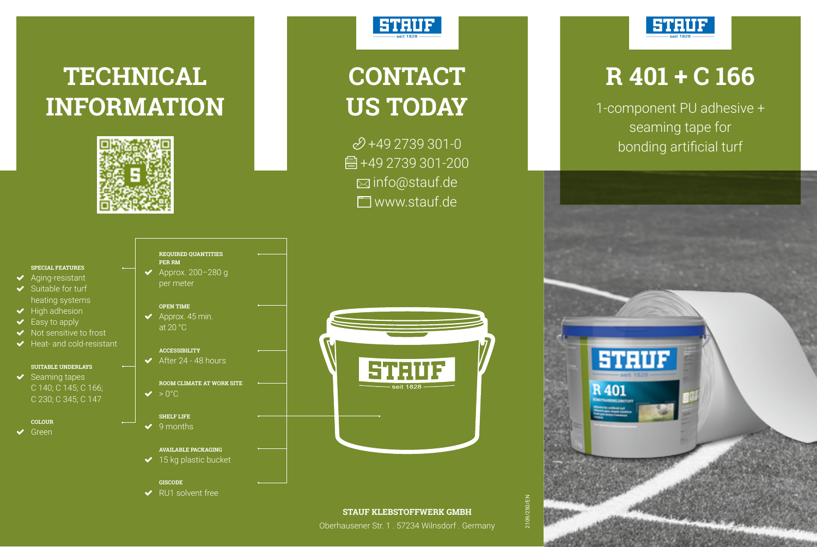# **TECHNICAL INFORMATION**



### **STRUF**

# **CONTACT US TODAY**

 $2+492739301-0$ 骨+49 2739 301-200 info@stauf.de **T**www.stauf.de



### **R 401 + C 166**

1-component PU adhesive + seaming tape for bonding artificial turf



### **SPECIAL FEATURES**

- Aging-resistant Suitable for turf
- heating systems  $\blacktriangleright$  High adhesion
- ◆ Easy to apply
- Not sensitive to frost
- Heat- and cold-resistant

#### **SUITABLE UNDERLAYS**  $\blacktriangleright$  Seaming tapes

- C 140; C 145; C 166; C 230; C 345; C 147
- **COLOUR**
- ◆ Green

**REQUIRED QUANTITIES PER RM**  $\blacktriangleright$  Approx. 200-280 g per meter

#### **OPEN TIME**

 $\blacktriangleright$  Approx. 45 min. at 20 °C

#### **ACCESSIBILITY**

 $\triangleleft$  After 24 - 48 hours

#### **ROOM CLIMATE AT WORK SITE**  $\vee$  > 0°C

#### **SHELF LIFE**

 $\vee$  9 months

#### **AVAILABLE PACKAGING**

- $\blacktriangleright$  15 kg plastic bucket
- **GISCODE** ◆ RU1 solvent free



### **STAUF KLEBSTOFFWERK GMBH**

Oberhausener Str. 1 . 57234 Wilnsdorf . Germany